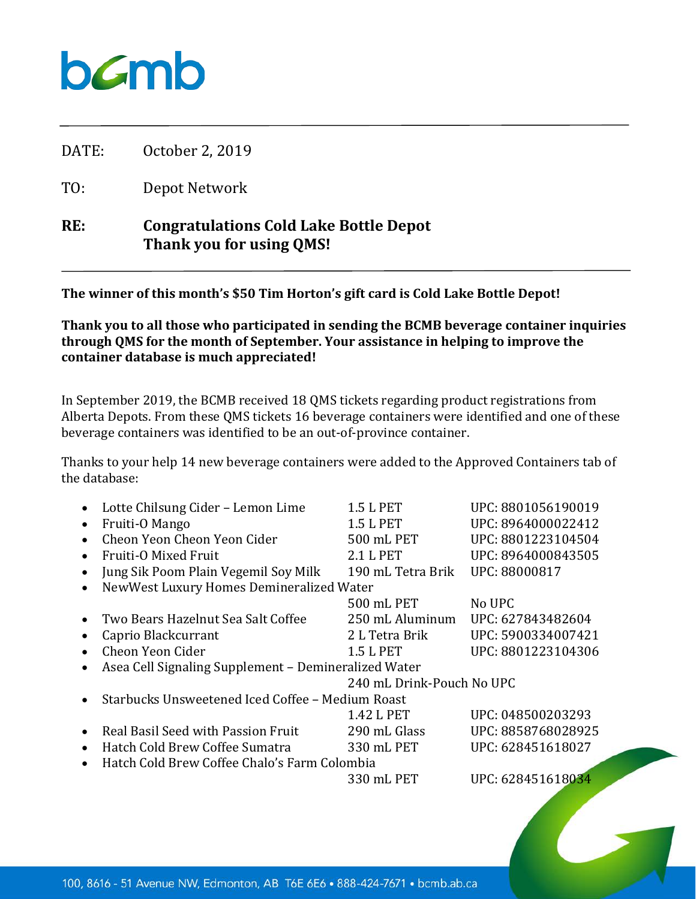## $b$ *C*mb

DATE: October 2, 2019

TO: Depot Network

## **RE: Congratulations Cold Lake Bottle Depot Thank you for using QMS!**

**The winner of this month's \$50 Tim Horton's gift card is Cold Lake Bottle Depot!**

**Thank you to all those who participated in sending the BCMB beverage container inquiries through QMS for the month of September. Your assistance in helping to improve the container database is much appreciated!**

In September 2019, the BCMB received 18 QMS tickets regarding product registrations from Alberta Depots. From these QMS tickets 16 beverage containers were identified and one of these beverage containers was identified to be an out-of-province container.

Thanks to your help 14 new beverage containers were added to the Approved Containers tab of the database:

|           | Lotte Chilsung Cider - Lemon Lime                    | 1.5 L PET                 | UPC: 8801056190019 |
|-----------|------------------------------------------------------|---------------------------|--------------------|
|           | Fruiti-O Mango                                       | 1.5 L PET                 | UPC: 8964000022412 |
|           | Cheon Yeon Cheon Yeon Cider                          | 500 mL PET                | UPC: 8801223104504 |
|           | Fruiti-O Mixed Fruit                                 | 2.1 L PET                 | UPC: 8964000843505 |
|           | Jung Sik Poom Plain Vegemil Soy Milk                 | 190 mL Tetra Brik         | UPC: 88000817      |
|           | NewWest Luxury Homes Demineralized Water             |                           |                    |
|           |                                                      | 500 mL PET                | No UPC             |
|           | Two Bears Hazelnut Sea Salt Coffee                   | 250 mL Aluminum           | UPC: 627843482604  |
|           | Caprio Blackcurrant                                  | 2 L Tetra Brik            | UPC: 5900334007421 |
|           | Cheon Yeon Cider                                     | 1.5 L PET                 | UPC: 8801223104306 |
|           | Asea Cell Signaling Supplement - Demineralized Water |                           |                    |
|           |                                                      | 240 mL Drink-Pouch No UPC |                    |
|           | Starbucks Unsweetened Iced Coffee - Medium Roast     |                           |                    |
|           |                                                      | 1.42 L PET                | UPC: 048500203293  |
|           | Real Basil Seed with Passion Fruit                   | 290 mL Glass              | UPC: 8858768028925 |
| $\bullet$ | Hatch Cold Brew Coffee Sumatra                       | 330 mL PET                | UPC: 628451618027  |
| $\bullet$ | Hatch Cold Brew Coffee Chalo's Farm Colombia         |                           |                    |
|           |                                                      | 330 mL PET                | UPC: 628451618034  |
|           |                                                      |                           |                    |
|           |                                                      |                           |                    |